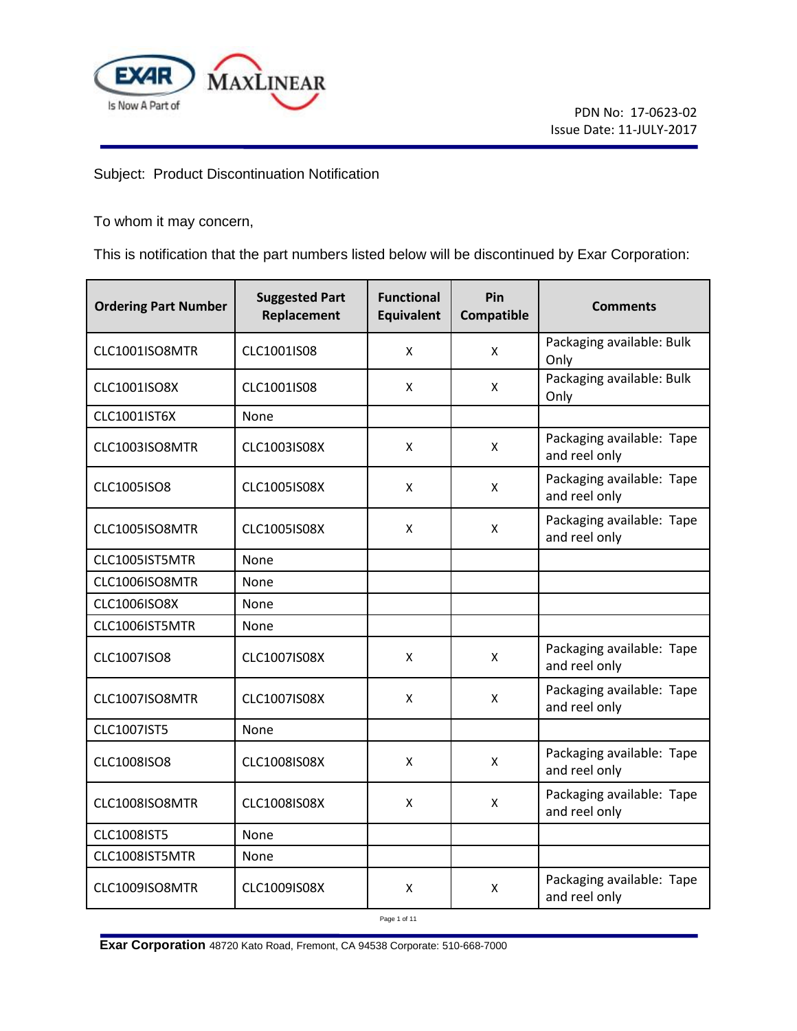

Subject: Product Discontinuation Notification

To whom it may concern,

This is notification that the part numbers listed below will be discontinued by Exar Corporation:

| <b>Ordering Part Number</b> | <b>Suggested Part</b><br>Replacement | <b>Functional</b><br><b>Equivalent</b> | Pin<br>Compatible | <b>Comments</b>                            |
|-----------------------------|--------------------------------------|----------------------------------------|-------------------|--------------------------------------------|
| CLC1001ISO8MTR              | CLC1001IS08                          | X                                      | X                 | Packaging available: Bulk<br>Only          |
| CLC1001ISO8X                | CLC1001IS08                          | X                                      | X                 | Packaging available: Bulk<br>Only          |
| <b>CLC1001IST6X</b>         | None                                 |                                        |                   |                                            |
| CLC1003ISO8MTR              | CLC1003IS08X                         | X                                      | X                 | Packaging available: Tape<br>and reel only |
| <b>CLC1005ISO8</b>          | <b>CLC1005IS08X</b>                  | X                                      | X                 | Packaging available: Tape<br>and reel only |
| CLC1005ISO8MTR              | <b>CLC1005IS08X</b>                  | X                                      | X                 | Packaging available: Tape<br>and reel only |
| CLC1005IST5MTR              | None                                 |                                        |                   |                                            |
| CLC1006ISO8MTR              | None                                 |                                        |                   |                                            |
| <b>CLC1006ISO8X</b>         | None                                 |                                        |                   |                                            |
| CLC1006IST5MTR              | None                                 |                                        |                   |                                            |
| CLC1007ISO8                 | CLC1007IS08X                         | X                                      | X                 | Packaging available: Tape<br>and reel only |
| CLC1007ISO8MTR              | CLC1007IS08X                         | X                                      | X                 | Packaging available: Tape<br>and reel only |
| <b>CLC1007IST5</b>          | None                                 |                                        |                   |                                            |
| <b>CLC1008ISO8</b>          | <b>CLC1008IS08X</b>                  | X                                      | X                 | Packaging available: Tape<br>and reel only |
| CLC1008ISO8MTR              | <b>CLC1008IS08X</b>                  | X                                      | X                 | Packaging available: Tape<br>and reel only |
| <b>CLC1008IST5</b>          | None                                 |                                        |                   |                                            |
| CLC1008IST5MTR              | None                                 |                                        |                   |                                            |
| CLC1009ISO8MTR              | CLC1009IS08X                         | X                                      | X                 | Packaging available: Tape<br>and reel only |

Page 1 of 11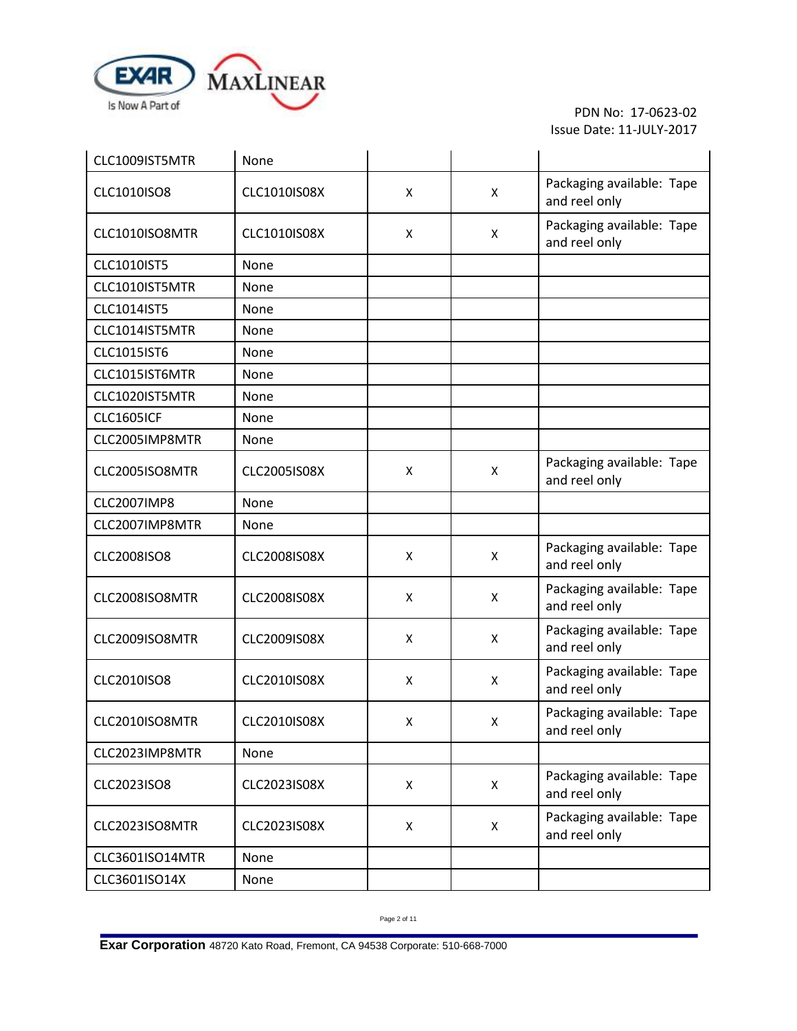

| CLC1009IST5MTR     | None                |   |   |                                            |
|--------------------|---------------------|---|---|--------------------------------------------|
| CLC1010ISO8        | CLC1010IS08X        | X | X | Packaging available: Tape<br>and reel only |
| CLC1010ISO8MTR     | CLC1010IS08X        | X | X | Packaging available: Tape<br>and reel only |
| CLC1010IST5        | None                |   |   |                                            |
| CLC1010IST5MTR     | None                |   |   |                                            |
| CLC1014IST5        | None                |   |   |                                            |
| CLC1014IST5MTR     | None                |   |   |                                            |
| CLC1015IST6        | None                |   |   |                                            |
| CLC1015IST6MTR     | None                |   |   |                                            |
| CLC1020IST5MTR     | None                |   |   |                                            |
| <b>CLC1605ICF</b>  | None                |   |   |                                            |
| CLC2005IMP8MTR     | None                |   |   |                                            |
| CLC2005ISO8MTR     | <b>CLC2005IS08X</b> | X | X | Packaging available: Tape<br>and reel only |
| <b>CLC2007IMP8</b> | None                |   |   |                                            |
| CLC2007IMP8MTR     | None                |   |   |                                            |
| <b>CLC2008ISO8</b> | <b>CLC2008IS08X</b> | X | X | Packaging available: Tape<br>and reel only |
| CLC2008ISO8MTR     | <b>CLC2008IS08X</b> | X | X | Packaging available: Tape<br>and reel only |
| CLC2009ISO8MTR     | <b>CLC2009IS08X</b> | X | X | Packaging available: Tape<br>and reel only |
| CLC2010ISO8        | <b>CLC2010IS08X</b> | X | X | Packaging available: Tape<br>and reel only |
| CLC2010ISO8MTR     | <b>CLC2010IS08X</b> | X | X | Packaging available: Tape<br>and reel only |
| CLC2023IMP8MTR     | None                |   |   |                                            |
| CLC2023ISO8        | CLC2023IS08X        | X | X | Packaging available: Tape<br>and reel only |
| CLC2023ISO8MTR     | CLC2023IS08X        | X | X | Packaging available: Tape<br>and reel only |
| CLC3601ISO14MTR    | None                |   |   |                                            |
| CLC3601ISO14X      | None                |   |   |                                            |

Page 2 of 11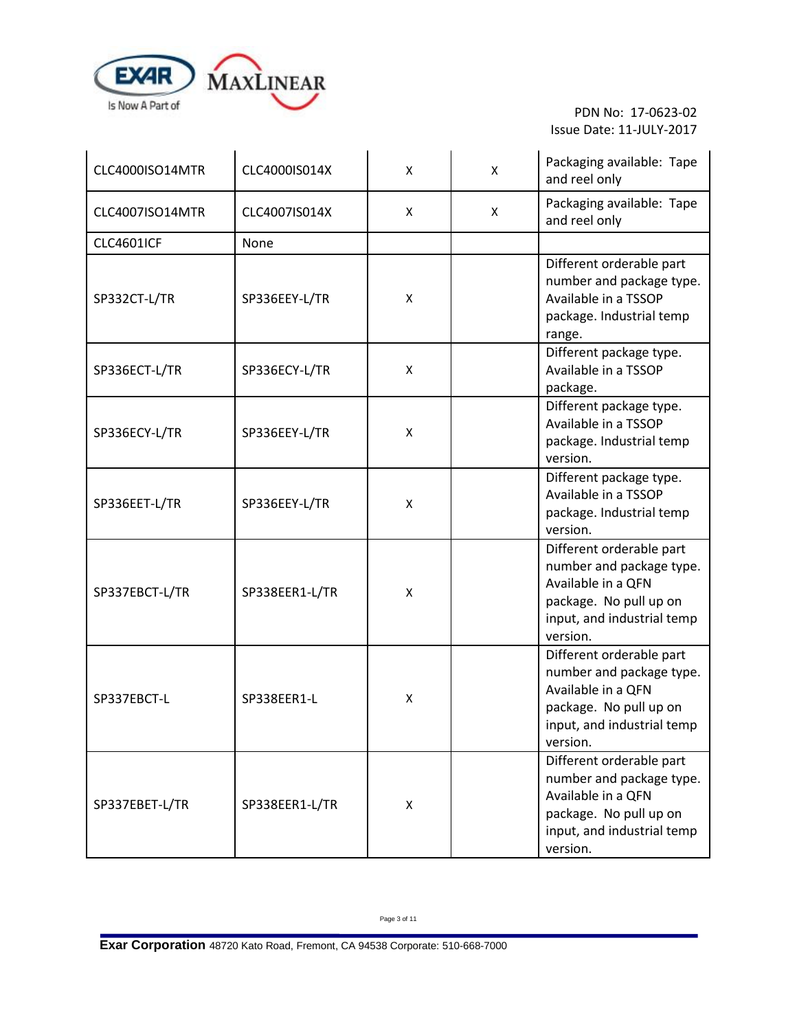

| CLC4000ISO14MTR   | CLC4000IS014X  | X | X | Packaging available: Tape<br>and reel only                                                                                                     |
|-------------------|----------------|---|---|------------------------------------------------------------------------------------------------------------------------------------------------|
| CLC4007ISO14MTR   | CLC4007IS014X  | X | X | Packaging available: Tape<br>and reel only                                                                                                     |
| <b>CLC4601ICF</b> | None           |   |   |                                                                                                                                                |
| SP332CT-L/TR      | SP336EEY-L/TR  | X |   | Different orderable part<br>number and package type.<br>Available in a TSSOP<br>package. Industrial temp<br>range.                             |
| SP336ECT-L/TR     | SP336ECY-L/TR  | X |   | Different package type.<br>Available in a TSSOP<br>package.                                                                                    |
| SP336ECY-L/TR     | SP336EEY-L/TR  | X |   | Different package type.<br>Available in a TSSOP<br>package. Industrial temp<br>version.                                                        |
| SP336EET-L/TR     | SP336EEY-L/TR  | X |   | Different package type.<br>Available in a TSSOP<br>package. Industrial temp<br>version.                                                        |
| SP337EBCT-L/TR    | SP338EER1-L/TR | X |   | Different orderable part<br>number and package type.<br>Available in a QFN<br>package. No pull up on<br>input, and industrial temp<br>version. |
| SP337EBCT-L       | SP338EER1-L    | X |   | Different orderable part<br>number and package type.<br>Available in a QFN<br>package. No pull up on<br>input, and industrial temp<br>version. |
| SP337EBET-L/TR    | SP338EER1-L/TR | X |   | Different orderable part<br>number and package type.<br>Available in a QFN<br>package. No pull up on<br>input, and industrial temp<br>version. |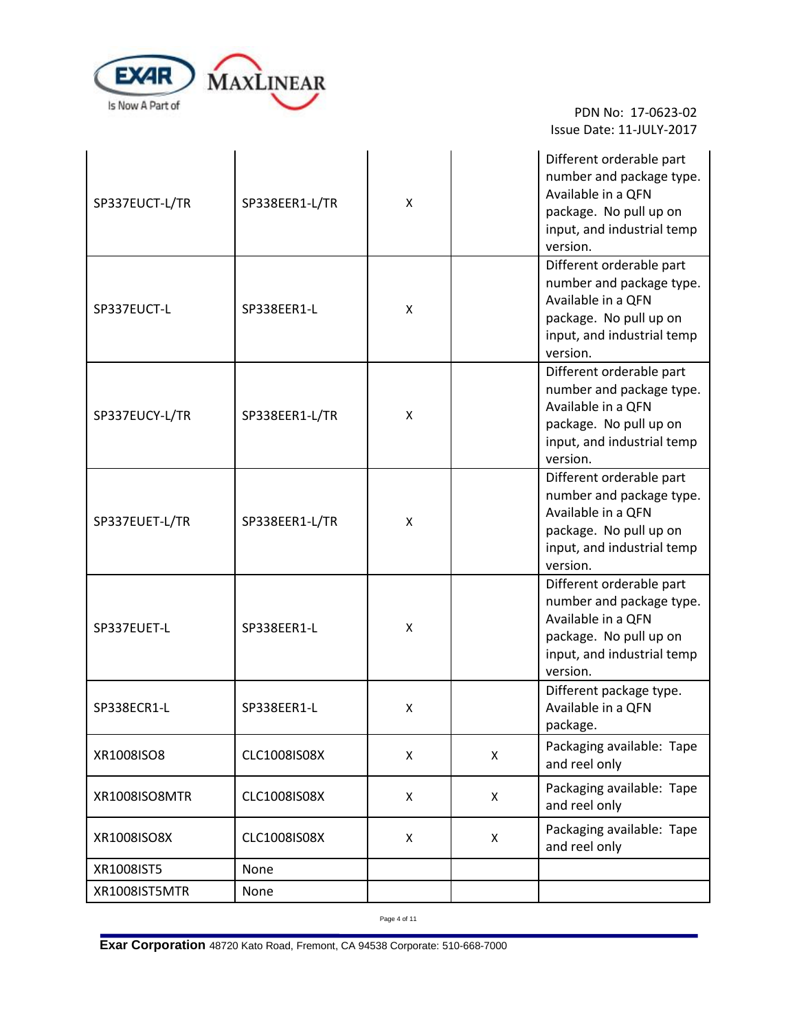

L.

 PDN No: 17-0623-02 Issue Date: 11-JULY-2017

÷.

| SP337EUCT-L/TR | SP338EER1-L/TR | X |   | Different orderable part<br>number and package type.<br>Available in a QFN<br>package. No pull up on<br>input, and industrial temp<br>version. |
|----------------|----------------|---|---|------------------------------------------------------------------------------------------------------------------------------------------------|
| SP337EUCT-L    | SP338EER1-L    | X |   | Different orderable part<br>number and package type.<br>Available in a QFN<br>package. No pull up on<br>input, and industrial temp<br>version. |
| SP337EUCY-L/TR | SP338EER1-L/TR | Χ |   | Different orderable part<br>number and package type.<br>Available in a QFN<br>package. No pull up on<br>input, and industrial temp<br>version. |
| SP337EUET-L/TR | SP338EER1-L/TR | Χ |   | Different orderable part<br>number and package type.<br>Available in a QFN<br>package. No pull up on<br>input, and industrial temp<br>version. |
| SP337EUET-L    | SP338EER1-L    | X |   | Different orderable part<br>number and package type.<br>Available in a QFN<br>package. No pull up on<br>input, and industrial temp<br>version. |
| SP338ECR1-L    | SP338EER1-L    | X |   | Different package type.<br>Available in a QFN<br>package.                                                                                      |
| XR1008ISO8     | CLC1008IS08X   | X | X | Packaging available: Tape<br>and reel only                                                                                                     |
| XR1008ISO8MTR  | CLC1008IS08X   | X | X | Packaging available: Tape<br>and reel only                                                                                                     |
| XR1008ISO8X    | CLC1008IS08X   | X | X | Packaging available: Tape<br>and reel only                                                                                                     |
| XR1008IST5     | None           |   |   |                                                                                                                                                |
| XR1008IST5MTR  | None           |   |   |                                                                                                                                                |

Page 4 of 11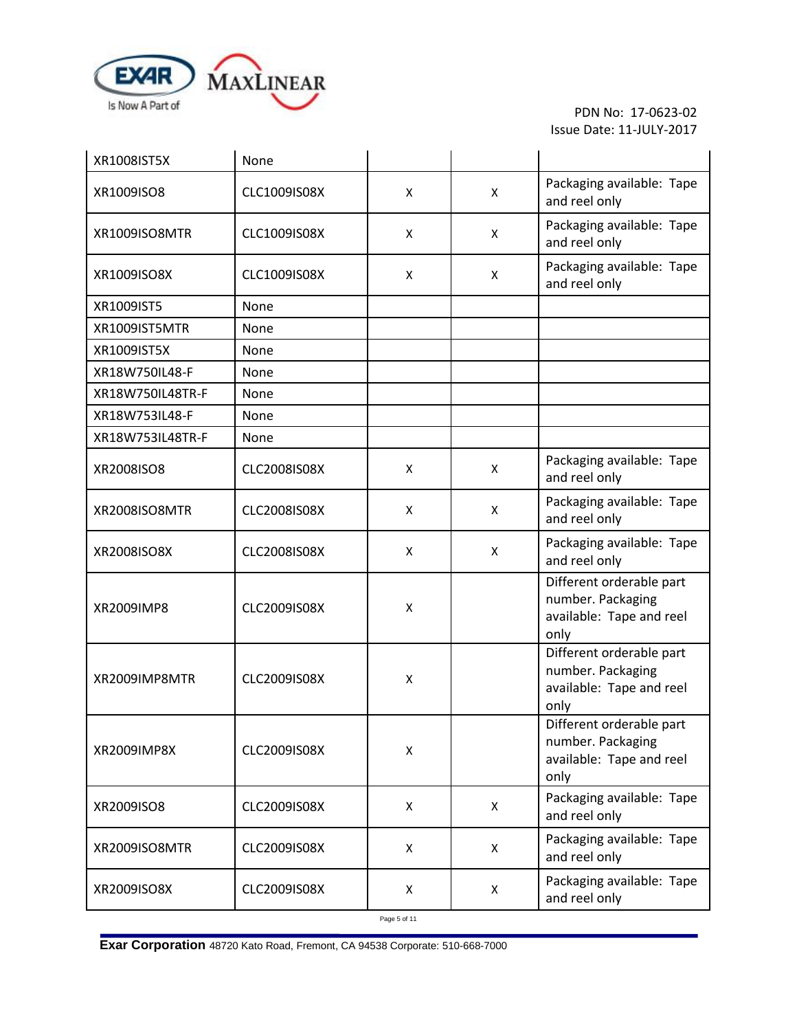

| XR1008IST5X      | None                |   |   |                                                                                   |
|------------------|---------------------|---|---|-----------------------------------------------------------------------------------|
| XR1009ISO8       | CLC1009IS08X        | X | X | Packaging available: Tape<br>and reel only                                        |
| XR1009ISO8MTR    | CLC1009IS08X        | X | X | Packaging available: Tape<br>and reel only                                        |
| XR1009ISO8X      | CLC1009IS08X        | х | X | Packaging available: Tape<br>and reel only                                        |
| XR1009IST5       | None                |   |   |                                                                                   |
| XR1009IST5MTR    | None                |   |   |                                                                                   |
| XR1009IST5X      | None                |   |   |                                                                                   |
| XR18W750IL48-F   | None                |   |   |                                                                                   |
| XR18W750IL48TR-F | None                |   |   |                                                                                   |
| XR18W753IL48-F   | None                |   |   |                                                                                   |
| XR18W753IL48TR-F | None                |   |   |                                                                                   |
| XR2008ISO8       | <b>CLC2008IS08X</b> | X | X | Packaging available: Tape<br>and reel only                                        |
| XR2008ISO8MTR    | <b>CLC2008IS08X</b> | X | X | Packaging available: Tape<br>and reel only                                        |
| XR2008ISO8X      | <b>CLC2008IS08X</b> | X | X | Packaging available: Tape<br>and reel only                                        |
| XR2009IMP8       | <b>CLC2009IS08X</b> | X |   | Different orderable part<br>number. Packaging<br>available: Tape and reel<br>only |
| XR2009IMP8MTR    | <b>CLC2009IS08X</b> | X |   | Different orderable part<br>number. Packaging<br>available: Tape and reel<br>only |
| XR2009IMP8X      | <b>CLC2009IS08X</b> | X |   | Different orderable part<br>number. Packaging<br>available: Tape and reel<br>only |
| XR2009ISO8       | CLC2009IS08X        | X | X | Packaging available: Tape<br>and reel only                                        |
| XR2009ISO8MTR    | CLC2009IS08X        | X | X | Packaging available: Tape<br>and reel only                                        |
| XR2009ISO8X      | CLC2009IS08X        | Χ | X | Packaging available: Tape<br>and reel only                                        |

Page 5 of 11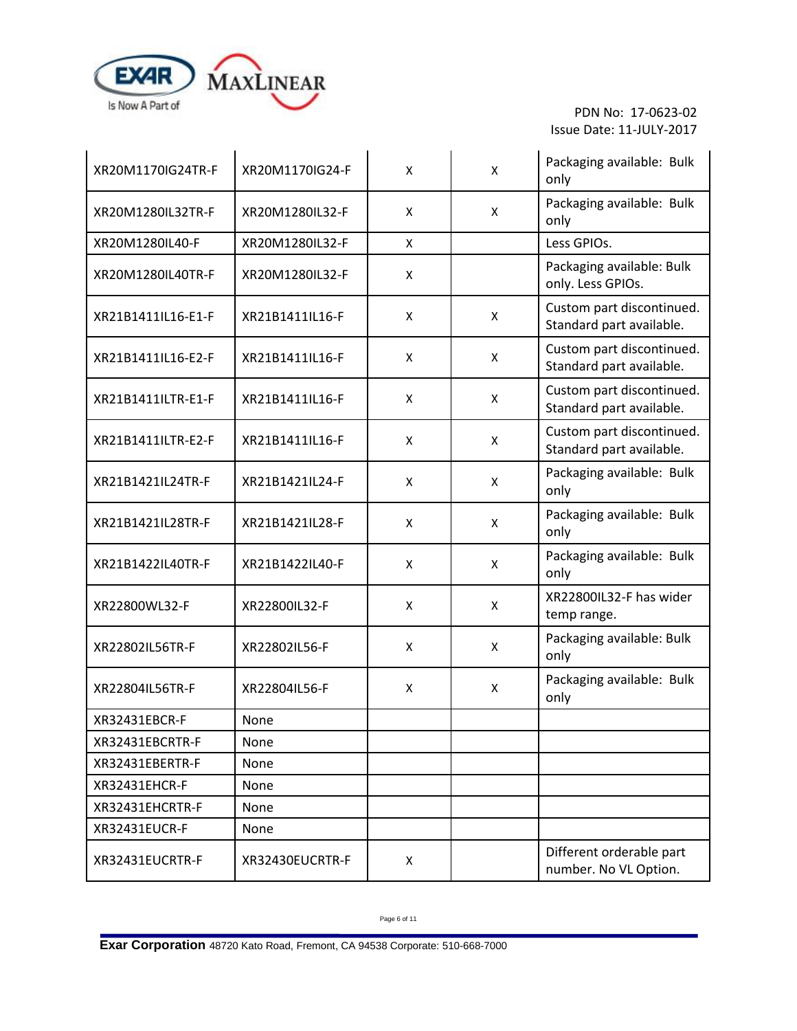

| XR20M1170IG24TR-F  | XR20M1170IG24-F | X | X | Packaging available: Bulk<br>only                     |
|--------------------|-----------------|---|---|-------------------------------------------------------|
| XR20M1280IL32TR-F  | XR20M1280IL32-F | X | X | Packaging available: Bulk<br>only                     |
| XR20M1280IL40-F    | XR20M1280IL32-F | X |   | Less GPIOs.                                           |
| XR20M1280IL40TR-F  | XR20M1280IL32-F | X |   | Packaging available: Bulk<br>only. Less GPIOs.        |
| XR21B1411IL16-E1-F | XR21B1411IL16-F | X | X | Custom part discontinued.<br>Standard part available. |
| XR21B1411IL16-E2-F | XR21B1411IL16-F | X | X | Custom part discontinued.<br>Standard part available. |
| XR21B1411ILTR-E1-F | XR21B1411IL16-F | X | X | Custom part discontinued.<br>Standard part available. |
| XR21B1411ILTR-E2-F | XR21B1411IL16-F | X | X | Custom part discontinued.<br>Standard part available. |
| XR21B1421IL24TR-F  | XR21B1421IL24-F | X | X | Packaging available: Bulk<br>only                     |
| XR21B1421IL28TR-F  | XR21B1421IL28-F | X | X | Packaging available: Bulk<br>only                     |
| XR21B1422IL40TR-F  | XR21B1422IL40-F | X | X | Packaging available: Bulk<br>only                     |
| XR22800WL32-F      | XR22800IL32-F   | X | X | XR22800IL32-F has wider<br>temp range.                |
| XR22802IL56TR-F    | XR22802IL56-F   | X | X | Packaging available: Bulk<br>only                     |
| XR22804IL56TR-F    | XR22804IL56-F   | X | X | Packaging available: Bulk<br>only                     |
| XR32431EBCR-F      | None            |   |   |                                                       |
| XR32431EBCRTR-F    | None            |   |   |                                                       |
| XR32431EBERTR-F    | None            |   |   |                                                       |
| XR32431EHCR-F      | None            |   |   |                                                       |
| XR32431EHCRTR-F    | None            |   |   |                                                       |
| XR32431EUCR-F      | None            |   |   |                                                       |
| XR32431EUCRTR-F    | XR32430EUCRTR-F | X |   | Different orderable part<br>number. No VL Option.     |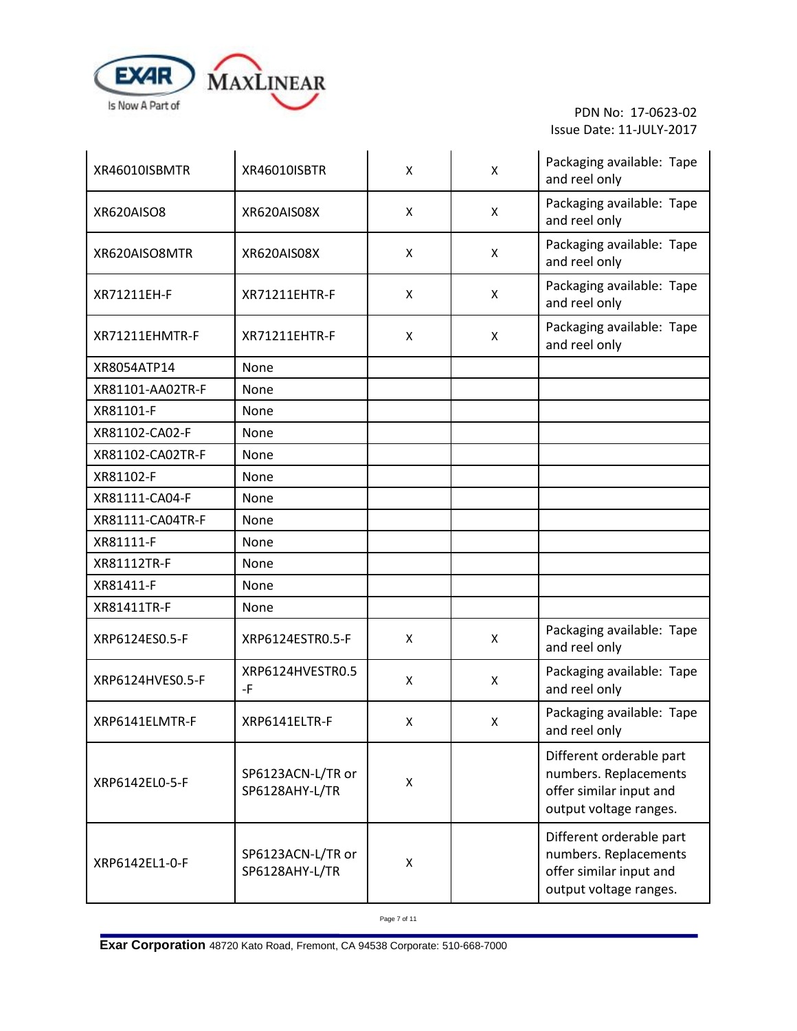

| XR46010ISBMTR    | XR46010ISBTR                        | X | X | Packaging available: Tape<br>and reel only                                                             |
|------------------|-------------------------------------|---|---|--------------------------------------------------------------------------------------------------------|
| XR620AISO8       | XR620AIS08X                         | X | Χ | Packaging available: Tape<br>and reel only                                                             |
| XR620AISO8MTR    | XR620AIS08X                         | X | X | Packaging available: Tape<br>and reel only                                                             |
| XR71211EH-F      | <b>XR71211EHTR-F</b>                | X | X | Packaging available: Tape<br>and reel only                                                             |
| XR71211EHMTR-F   | <b>XR71211EHTR-F</b>                | X | X | Packaging available: Tape<br>and reel only                                                             |
| XR8054ATP14      | None                                |   |   |                                                                                                        |
| XR81101-AA02TR-F | None                                |   |   |                                                                                                        |
| XR81101-F        | None                                |   |   |                                                                                                        |
| XR81102-CA02-F   | None                                |   |   |                                                                                                        |
| XR81102-CA02TR-F | None                                |   |   |                                                                                                        |
| XR81102-F        | None                                |   |   |                                                                                                        |
| XR81111-CA04-F   | None                                |   |   |                                                                                                        |
| XR81111-CA04TR-F | None                                |   |   |                                                                                                        |
| XR81111-F        | None                                |   |   |                                                                                                        |
| XR81112TR-F      | None                                |   |   |                                                                                                        |
| XR81411-F        | None                                |   |   |                                                                                                        |
| XR81411TR-F      | None                                |   |   |                                                                                                        |
| XRP6124ES0.5-F   | XRP6124ESTR0.5-F                    | X | X | Packaging available: Tape<br>and reel only                                                             |
| XRP6124HVES0.5-F | XRP6124HVESTR0.5<br>-F              | X | X | Packaging available: Tape<br>and reel only                                                             |
| XRP6141ELMTR-F   | XRP6141ELTR-F                       | X | X | Packaging available: Tape<br>and reel only                                                             |
| XRP6142EL0-5-F   | SP6123ACN-L/TR or<br>SP6128AHY-L/TR | X |   | Different orderable part<br>numbers. Replacements<br>offer similar input and<br>output voltage ranges. |
| XRP6142EL1-0-F   | SP6123ACN-L/TR or<br>SP6128AHY-L/TR | X |   | Different orderable part<br>numbers. Replacements<br>offer similar input and<br>output voltage ranges. |

Page 7 of 11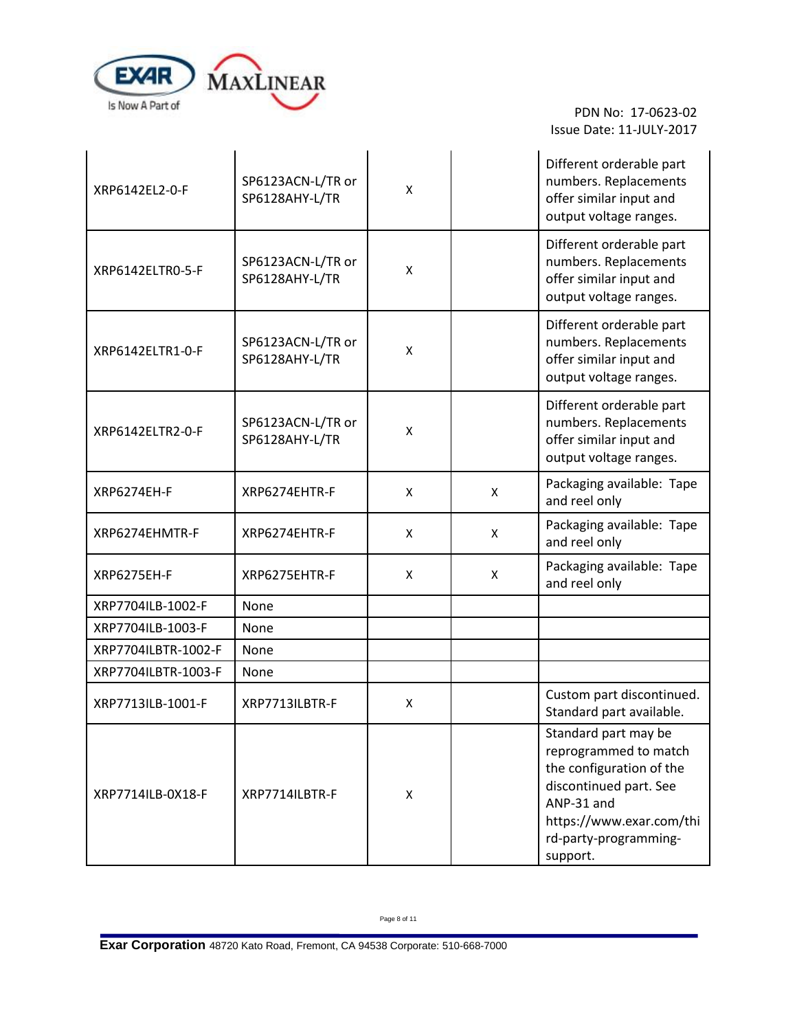

 $\mathbf{r}$ 

 PDN No: 17-0623-02 Issue Date: 11-JULY-2017

÷.

| XRP6142EL2-0-F      | SP6123ACN-L/TR or<br>SP6128AHY-L/TR | Χ |   | Different orderable part<br>numbers. Replacements<br>offer similar input and<br>output voltage ranges.                                                                             |
|---------------------|-------------------------------------|---|---|------------------------------------------------------------------------------------------------------------------------------------------------------------------------------------|
| XRP6142ELTR0-5-F    | SP6123ACN-L/TR or<br>SP6128AHY-L/TR | X |   | Different orderable part<br>numbers. Replacements<br>offer similar input and<br>output voltage ranges.                                                                             |
| XRP6142ELTR1-0-F    | SP6123ACN-L/TR or<br>SP6128AHY-L/TR | X |   | Different orderable part<br>numbers. Replacements<br>offer similar input and<br>output voltage ranges.                                                                             |
| XRP6142ELTR2-0-F    | SP6123ACN-L/TR or<br>SP6128AHY-L/TR | X |   | Different orderable part<br>numbers. Replacements<br>offer similar input and<br>output voltage ranges.                                                                             |
| XRP6274EH-F         | XRP6274EHTR-F                       | X | X | Packaging available: Tape<br>and reel only                                                                                                                                         |
| XRP6274EHMTR-F      | XRP6274EHTR-F                       | X | X | Packaging available: Tape<br>and reel only                                                                                                                                         |
| <b>XRP6275EH-F</b>  | XRP6275EHTR-F                       | X | X | Packaging available: Tape<br>and reel only                                                                                                                                         |
| XRP7704ILB-1002-F   | None                                |   |   |                                                                                                                                                                                    |
| XRP7704ILB-1003-F   | None                                |   |   |                                                                                                                                                                                    |
| XRP7704ILBTR-1002-F | None                                |   |   |                                                                                                                                                                                    |
| XRP7704ILBTR-1003-F | None                                |   |   |                                                                                                                                                                                    |
| XRP7713ILB-1001-F   | XRP7713ILBTR-F                      | x |   | Custom part discontinued.<br>Standard part available.                                                                                                                              |
| XRP7714ILB-0X18-F   | XRP7714ILBTR-F                      | X |   | Standard part may be<br>reprogrammed to match<br>the configuration of the<br>discontinued part. See<br>ANP-31 and<br>https://www.exar.com/thi<br>rd-party-programming-<br>support. |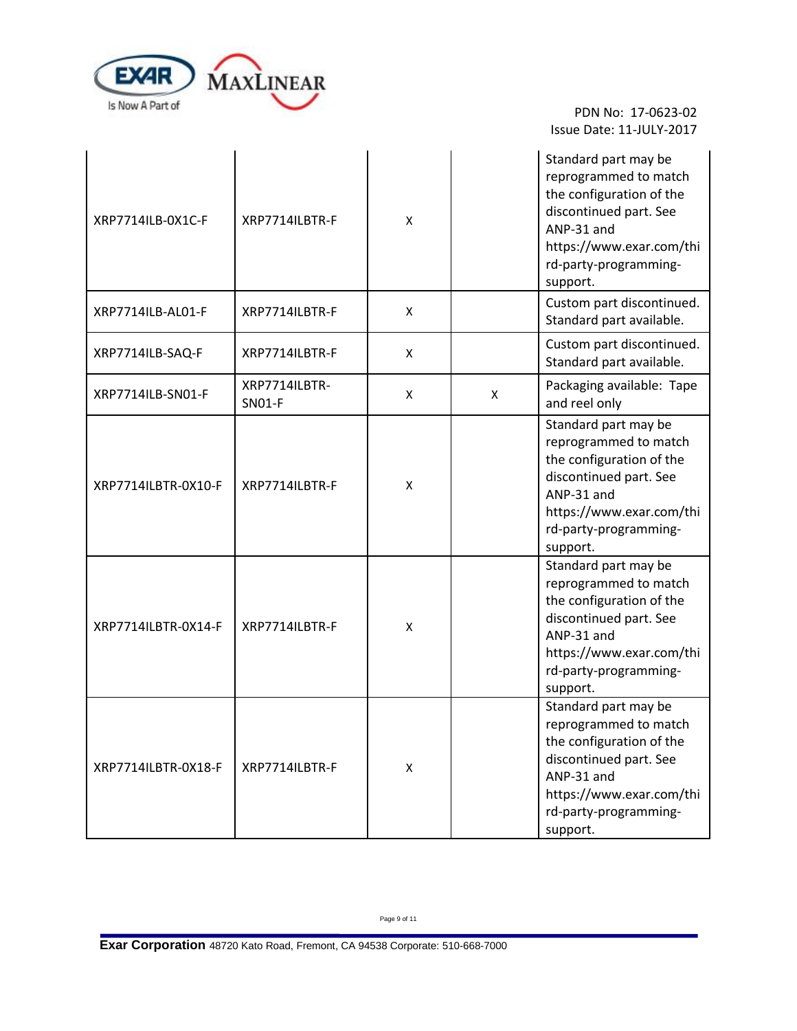

| XRP7714ILB-0X1C-F   | XRP7714ILBTR-F                 | X |   | Standard part may be<br>reprogrammed to match<br>the configuration of the<br>discontinued part. See<br>ANP-31 and<br>https://www.exar.com/thi<br>rd-party-programming-<br>support. |
|---------------------|--------------------------------|---|---|------------------------------------------------------------------------------------------------------------------------------------------------------------------------------------|
| XRP7714ILB-AL01-F   | XRP7714ILBTR-F                 | X |   | Custom part discontinued.<br>Standard part available.                                                                                                                              |
| XRP7714ILB-SAQ-F    | XRP7714ILBTR-F                 | X |   | Custom part discontinued.<br>Standard part available.                                                                                                                              |
| XRP7714ILB-SN01-F   | XRP7714ILBTR-<br><b>SN01-F</b> | X | X | Packaging available: Tape<br>and reel only                                                                                                                                         |
| XRP7714ILBTR-0X10-F | XRP7714ILBTR-F                 | X |   | Standard part may be<br>reprogrammed to match<br>the configuration of the<br>discontinued part. See<br>ANP-31 and<br>https://www.exar.com/thi<br>rd-party-programming-<br>support. |
| XRP7714ILBTR-0X14-F | XRP7714ILBTR-F                 | X |   | Standard part may be<br>reprogrammed to match<br>the configuration of the<br>discontinued part. See<br>ANP-31 and<br>https://www.exar.com/thi<br>rd-party-programming-<br>support. |
| XRP7714ILBTR-0X18-F | XRP7714ILBTR-F                 | X |   | Standard part may be<br>reprogrammed to match<br>the configuration of the<br>discontinued part. See<br>ANP-31 and<br>https://www.exar.com/thi<br>rd-party-programming-<br>support. |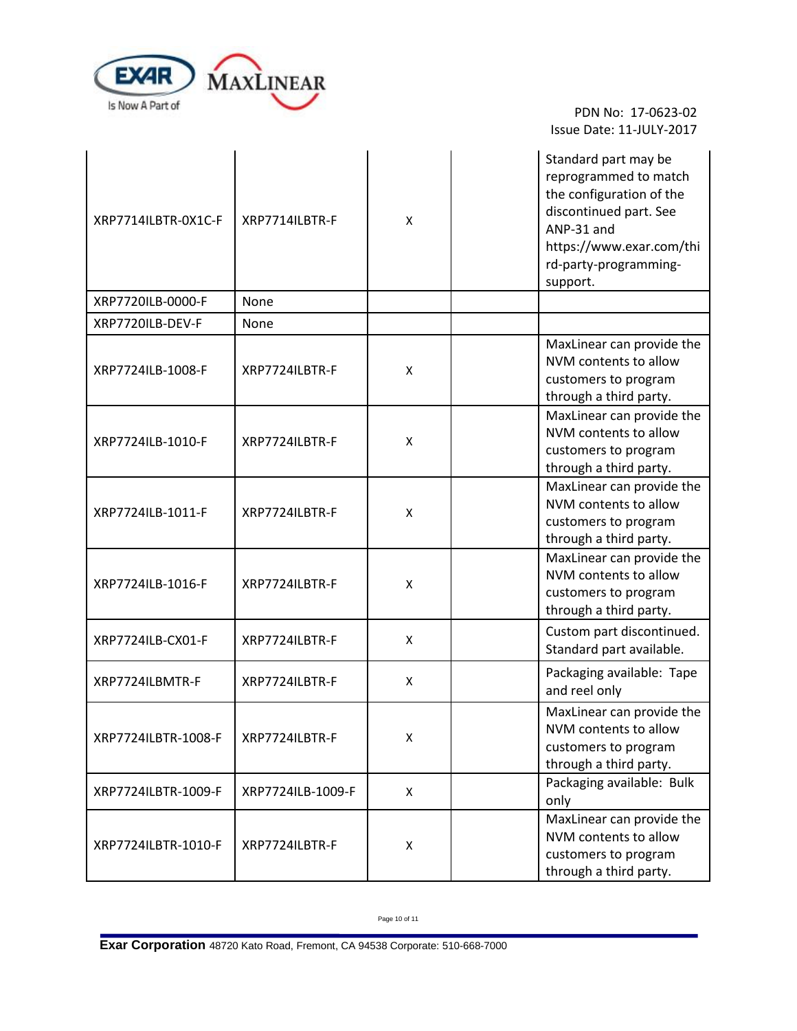

| XRP7714ILBTR-0X1C-F | XRP7714ILBTR-F    | X              | Standard part may be<br>reprogrammed to match<br>the configuration of the<br>discontinued part. See<br>ANP-31 and<br>https://www.exar.com/thi<br>rd-party-programming-<br>support. |
|---------------------|-------------------|----------------|------------------------------------------------------------------------------------------------------------------------------------------------------------------------------------|
| XRP7720ILB-0000-F   | None              |                |                                                                                                                                                                                    |
| XRP7720ILB-DEV-F    | None              |                |                                                                                                                                                                                    |
| XRP7724ILB-1008-F   | XRP7724ILBTR-F    | X              | MaxLinear can provide the<br>NVM contents to allow<br>customers to program<br>through a third party.                                                                               |
| XRP7724ILB-1010-F   | XRP7724ILBTR-F    | X              | MaxLinear can provide the<br>NVM contents to allow<br>customers to program<br>through a third party.                                                                               |
| XRP7724ILB-1011-F   | XRP7724ILBTR-F    | X              | MaxLinear can provide the<br>NVM contents to allow<br>customers to program<br>through a third party.                                                                               |
| XRP7724ILB-1016-F   | XRP7724ILBTR-F    | X              | MaxLinear can provide the<br>NVM contents to allow<br>customers to program<br>through a third party.                                                                               |
| XRP7724ILB-CX01-F   | XRP7724ILBTR-F    | X              | Custom part discontinued.<br>Standard part available.                                                                                                                              |
| XRP7724ILBMTR-F     | XRP7724ILBTR-F    | X              | Packaging available: Tape<br>and reel only                                                                                                                                         |
| XRP7724ILBTR-1008-F | XRP7724ILBTR-F    | X              | MaxLinear can provide the<br>NVM contents to allow<br>customers to program<br>through a third party.                                                                               |
| XRP7724ILBTR-1009-F | XRP7724ILB-1009-F | $\pmb{\times}$ | Packaging available: Bulk<br>only                                                                                                                                                  |
| XRP7724ILBTR-1010-F | XRP7724ILBTR-F    | X              | MaxLinear can provide the<br>NVM contents to allow<br>customers to program<br>through a third party.                                                                               |

Page 10 of 11